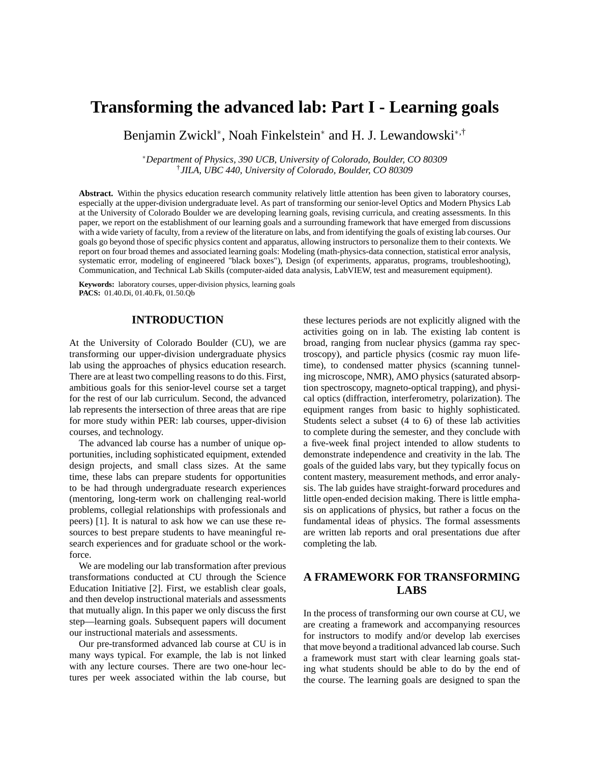# **Transforming the advanced lab: Part I - Learning goals**

Benjamin Zwickl<sup>∗</sup>, Noah Finkelstein<sup>∗</sup> and H. J. Lewandowski<sup>∗,†</sup>

<sup>∗</sup>*Department of Physics, 390 UCB, University of Colorado, Boulder, CO 80309* † *JILA, UBC 440, University of Colorado, Boulder, CO 80309*

**Abstract.** Within the physics education research community relatively little attention has been given to laboratory courses, especially at the upper-division undergraduate level. As part of transforming our senior-level Optics and Modern Physics Lab at the University of Colorado Boulder we are developing learning goals, revising curricula, and creating assessments. In this paper, we report on the establishment of our learning goals and a surrounding framework that have emerged from discussions with a wide variety of faculty, from a review of the literature on labs, and from identifying the goals of existing lab courses. Our goals go beyond those of specific physics content and apparatus, allowing instructors to personalize them to their contexts. We report on four broad themes and associated learning goals: Modeling (math-physics-data connection, statistical error analysis, systematic error, modeling of engineered "black boxes"), Design (of experiments, apparatus, programs, troubleshooting), Communication, and Technical Lab Skills (computer-aided data analysis, LabVIEW, test and measurement equipment).

**Keywords:** laboratory courses, upper-division physics, learning goals **PACS:** 01.40.Di, 01.40.Fk, 01.50.Qb

# **INTRODUCTION**

At the University of Colorado Boulder (CU), we are transforming our upper-division undergraduate physics lab using the approaches of physics education research. There are at least two compelling reasons to do this. First, ambitious goals for this senior-level course set a target for the rest of our lab curriculum. Second, the advanced lab represents the intersection of three areas that are ripe for more study within PER: lab courses, upper-division courses, and technology.

The advanced lab course has a number of unique opportunities, including sophisticated equipment, extended design projects, and small class sizes. At the same time, these labs can prepare students for opportunities to be had through undergraduate research experiences (mentoring, long-term work on challenging real-world problems, collegial relationships with professionals and peers) [1]. It is natural to ask how we can use these resources to best prepare students to have meaningful research experiences and for graduate school or the workforce.

We are modeling our lab transformation after previous transformations conducted at CU through the Science Education Initiative [2]. First, we establish clear goals, and then develop instructional materials and assessments that mutually align. In this paper we only discuss the first step—learning goals. Subsequent papers will document our instructional materials and assessments.

Our pre-transformed advanced lab course at CU is in many ways typical. For example, the lab is not linked with any lecture courses. There are two one-hour lectures per week associated within the lab course, but these lectures periods are not explicitly aligned with the activities going on in lab. The existing lab content is broad, ranging from nuclear physics (gamma ray spectroscopy), and particle physics (cosmic ray muon lifetime), to condensed matter physics (scanning tunneling microscope, NMR), AMO physics (saturated absorption spectroscopy, magneto-optical trapping), and physical optics (diffraction, interferometry, polarization). The equipment ranges from basic to highly sophisticated. Students select a subset (4 to 6) of these lab activities to complete during the semester, and they conclude with a five-week final project intended to allow students to demonstrate independence and creativity in the lab. The goals of the guided labs vary, but they typically focus on content mastery, measurement methods, and error analysis. The lab guides have straight-forward procedures and little open-ended decision making. There is little emphasis on applications of physics, but rather a focus on the fundamental ideas of physics. The formal assessments are written lab reports and oral presentations due after completing the lab.

# **A FRAMEWORK FOR TRANSFORMING LABS**

In the process of transforming our own course at CU, we are creating a framework and accompanying resources for instructors to modify and/or develop lab exercises that move beyond a traditional advanced lab course. Such a framework must start with clear learning goals stating what students should be able to do by the end of the course. The learning goals are designed to span the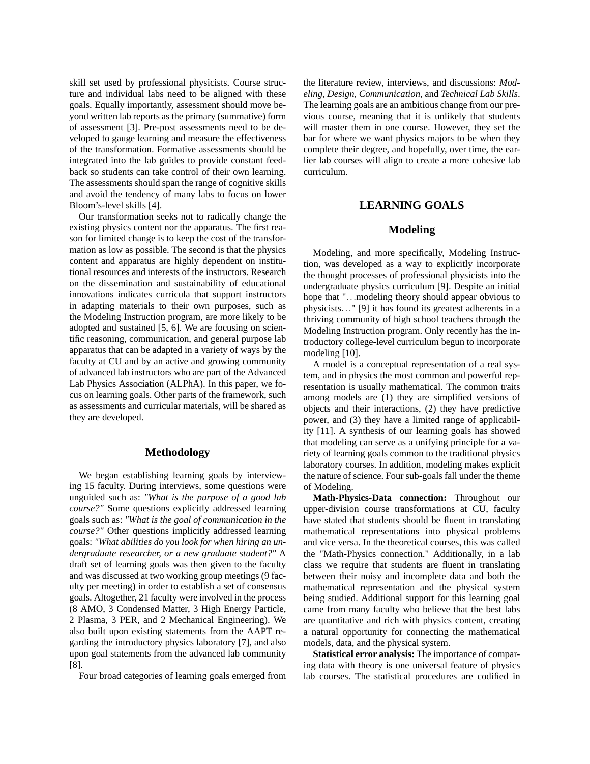skill set used by professional physicists. Course structure and individual labs need to be aligned with these goals. Equally importantly, assessment should move beyond written lab reports as the primary (summative) form of assessment [3]. Pre-post assessments need to be developed to gauge learning and measure the effectiveness of the transformation. Formative assessments should be integrated into the lab guides to provide constant feedback so students can take control of their own learning. The assessments should span the range of cognitive skills and avoid the tendency of many labs to focus on lower Bloom's-level skills [4].

Our transformation seeks not to radically change the existing physics content nor the apparatus. The first reason for limited change is to keep the cost of the transformation as low as possible. The second is that the physics content and apparatus are highly dependent on institutional resources and interests of the instructors. Research on the dissemination and sustainability of educational innovations indicates curricula that support instructors in adapting materials to their own purposes, such as the Modeling Instruction program, are more likely to be adopted and sustained [5, 6]. We are focusing on scientific reasoning, communication, and general purpose lab apparatus that can be adapted in a variety of ways by the faculty at CU and by an active and growing community of advanced lab instructors who are part of the Advanced Lab Physics Association (ALPhA). In this paper, we focus on learning goals. Other parts of the framework, such as assessments and curricular materials, will be shared as they are developed.

#### **Methodology**

We began establishing learning goals by interviewing 15 faculty. During interviews, some questions were unguided such as: *"What is the purpose of a good lab course?"* Some questions explicitly addressed learning goals such as: *"What is the goal of communication in the course?"* Other questions implicitly addressed learning goals: *"What abilities do you look for when hiring an undergraduate researcher, or a new graduate student?"* A draft set of learning goals was then given to the faculty and was discussed at two working group meetings (9 faculty per meeting) in order to establish a set of consensus goals. Altogether, 21 faculty were involved in the process (8 AMO, 3 Condensed Matter, 3 High Energy Particle, 2 Plasma, 3 PER, and 2 Mechanical Engineering). We also built upon existing statements from the AAPT regarding the introductory physics laboratory [7], and also upon goal statements from the advanced lab community [8].

Four broad categories of learning goals emerged from

the literature review, interviews, and discussions: *Modeling*, *Design*, *Communication*, and *Technical Lab Skills*. The learning goals are an ambitious change from our previous course, meaning that it is unlikely that students will master them in one course. However, they set the bar for where we want physics majors to be when they complete their degree, and hopefully, over time, the earlier lab courses will align to create a more cohesive lab curriculum.

## **LEARNING GOALS**

## **Modeling**

Modeling, and more specifically, Modeling Instruction, was developed as a way to explicitly incorporate the thought processes of professional physicists into the undergraduate physics curriculum [9]. Despite an initial hope that "...modeling theory should appear obvious to physicists..." [9] it has found its greatest adherents in a thriving community of high school teachers through the Modeling Instruction program. Only recently has the introductory college-level curriculum begun to incorporate modeling [10].

A model is a conceptual representation of a real system, and in physics the most common and powerful representation is usually mathematical. The common traits among models are (1) they are simplified versions of objects and their interactions, (2) they have predictive power, and (3) they have a limited range of applicability [11]. A synthesis of our learning goals has showed that modeling can serve as a unifying principle for a variety of learning goals common to the traditional physics laboratory courses. In addition, modeling makes explicit the nature of science. Four sub-goals fall under the theme of Modeling.

**Math-Physics-Data connection:** Throughout our upper-division course transformations at CU, faculty have stated that students should be fluent in translating mathematical representations into physical problems and vice versa. In the theoretical courses, this was called the "Math-Physics connection." Additionally, in a lab class we require that students are fluent in translating between their noisy and incomplete data and both the mathematical representation and the physical system being studied. Additional support for this learning goal came from many faculty who believe that the best labs are quantitative and rich with physics content, creating a natural opportunity for connecting the mathematical models, data, and the physical system.

**Statistical error analysis:** The importance of comparing data with theory is one universal feature of physics lab courses. The statistical procedures are codified in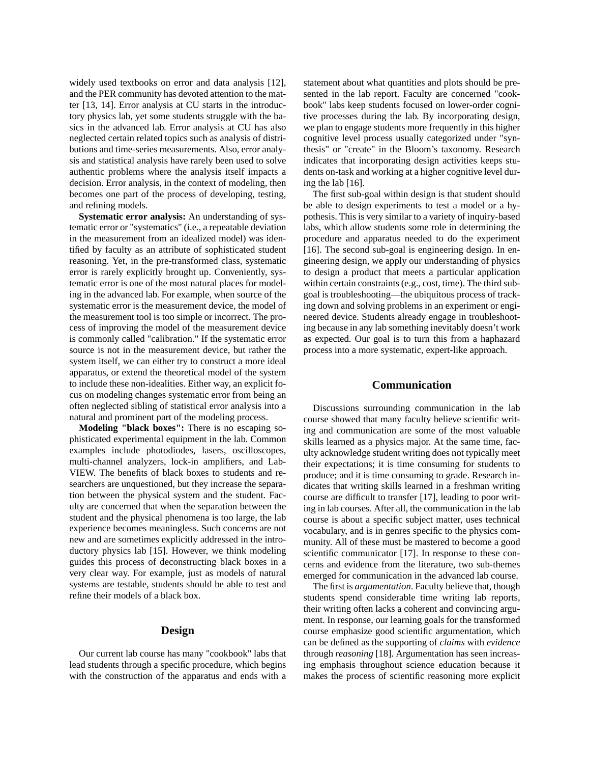widely used textbooks on error and data analysis [12], and the PER community has devoted attention to the matter [13, 14]. Error analysis at CU starts in the introductory physics lab, yet some students struggle with the basics in the advanced lab. Error analysis at CU has also neglected certain related topics such as analysis of distributions and time-series measurements. Also, error analysis and statistical analysis have rarely been used to solve authentic problems where the analysis itself impacts a decision. Error analysis, in the context of modeling, then becomes one part of the process of developing, testing, and refining models.

**Systematic error analysis:** An understanding of systematic error or "systematics" (i.e., a repeatable deviation in the measurement from an idealized model) was identified by faculty as an attribute of sophisticated student reasoning. Yet, in the pre-transformed class, systematic error is rarely explicitly brought up. Conveniently, systematic error is one of the most natural places for modeling in the advanced lab. For example, when source of the systematic error is the measurement device, the model of the measurement tool is too simple or incorrect. The process of improving the model of the measurement device is commonly called "calibration." If the systematic error source is not in the measurement device, but rather the system itself, we can either try to construct a more ideal apparatus, or extend the theoretical model of the system to include these non-idealities. Either way, an explicit focus on modeling changes systematic error from being an often neglected sibling of statistical error analysis into a natural and prominent part of the modeling process.

**Modeling "black boxes":** There is no escaping sophisticated experimental equipment in the lab. Common examples include photodiodes, lasers, oscilloscopes, multi-channel analyzers, lock-in amplifiers, and Lab-VIEW. The benefits of black boxes to students and researchers are unquestioned, but they increase the separation between the physical system and the student. Faculty are concerned that when the separation between the student and the physical phenomena is too large, the lab experience becomes meaningless. Such concerns are not new and are sometimes explicitly addressed in the introductory physics lab [15]. However, we think modeling guides this process of deconstructing black boxes in a very clear way. For example, just as models of natural systems are testable, students should be able to test and refine their models of a black box.

#### **Design**

Our current lab course has many "cookbook" labs that lead students through a specific procedure, which begins with the construction of the apparatus and ends with a statement about what quantities and plots should be presented in the lab report. Faculty are concerned "cookbook" labs keep students focused on lower-order cognitive processes during the lab. By incorporating design, we plan to engage students more frequently in this higher cognitive level process usually categorized under "synthesis" or "create" in the Bloom's taxonomy. Research indicates that incorporating design activities keeps students on-task and working at a higher cognitive level during the lab [16].

The first sub-goal within design is that student should be able to design experiments to test a model or a hypothesis. This is very similar to a variety of inquiry-based labs, which allow students some role in determining the procedure and apparatus needed to do the experiment [16]. The second sub-goal is engineering design. In engineering design, we apply our understanding of physics to design a product that meets a particular application within certain constraints (e.g., cost, time). The third subgoal is troubleshooting—the ubiquitous process of tracking down and solving problems in an experiment or engineered device. Students already engage in troubleshooting because in any lab something inevitably doesn't work as expected. Our goal is to turn this from a haphazard process into a more systematic, expert-like approach.

#### **Communication**

Discussions surrounding communication in the lab course showed that many faculty believe scientific writing and communication are some of the most valuable skills learned as a physics major. At the same time, faculty acknowledge student writing does not typically meet their expectations; it is time consuming for students to produce; and it is time consuming to grade. Research indicates that writing skills learned in a freshman writing course are difficult to transfer [17], leading to poor writing in lab courses. After all, the communication in the lab course is about a specific subject matter, uses technical vocabulary, and is in genres specific to the physics community. All of these must be mastered to become a good scientific communicator [17]. In response to these concerns and evidence from the literature, two sub-themes emerged for communication in the advanced lab course.

The first is *argumentation*. Faculty believe that, though students spend considerable time writing lab reports, their writing often lacks a coherent and convincing argument. In response, our learning goals for the transformed course emphasize good scientific argumentation, which can be defined as the supporting of *claims* with *evidence* through *reasoning* [18]. Argumentation has seen increasing emphasis throughout science education because it makes the process of scientific reasoning more explicit